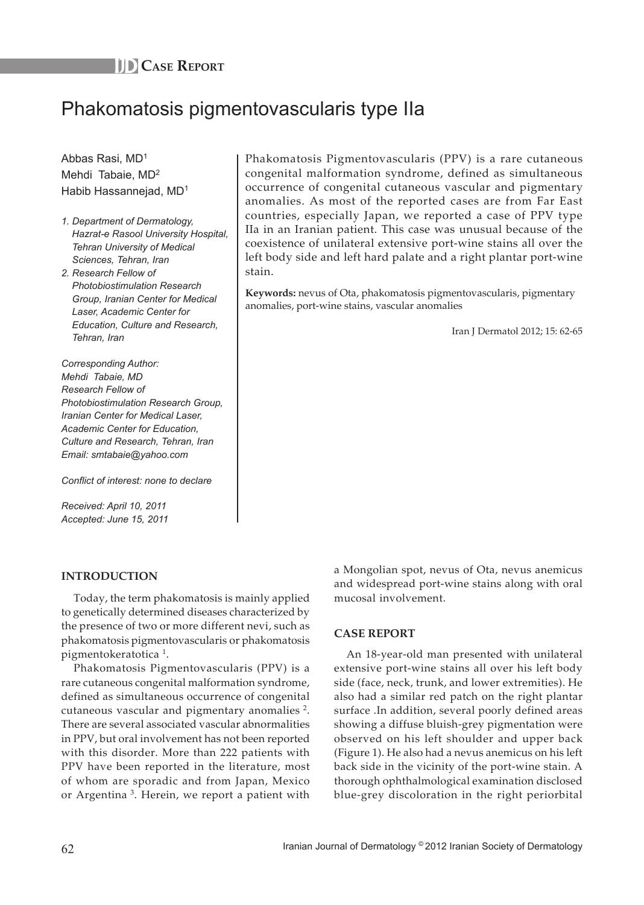

# Phakomatosis pigmentovascularis type IIa

Abbas Rasi, MD1 Mehdi Tabaie, MD<sup>2</sup> Habib Hassannejad, MD<sup>1</sup>

- *1. Department of Dermatology, Hazrat-e Rasool University Hospital, Tehran University of Medical Sciences, Tehran, Iran*
- *2. Research Fellow of Photobiostimulation Research Group, Iranian Center for Medical Laser, Academic Center for Education, Culture and Research, Tehran, Iran*

*Corresponding Author: Mehdi Tabaie, MD Research Fellow of Photobiostimulation Research Group, Iranian Center for Medical Laser, Academic Center for Education, Culture and Research, Tehran, Iran Email: smtabaie@yahoo.com*

*Conflict of interest: none to declare*

*Received: April 10, 2011 Accepted: June 15, 2011*

## **Introduction**

Today, the term phakomatosis is mainly applied to genetically determined diseases characterized by the presence of two or more different nevi, such as phakomatosis pigmentovascularis or phakomatosis pigmentokeratotica <sup>1</sup>.

Phakomatosis Pigmentovascularis (PPV) is a rare cutaneous congenital malformation syndrome, defined as simultaneous occurrence of congenital cutaneous vascular and pigmentary anomalies  $^2$ . There are several associated vascular abnormalities in PPV, but oral involvement has not been reported with this disorder. More than 222 patients with PPV have been reported in the literature, most of whom are sporadic and from Japan, Mexico or Argentina<sup>3</sup>. Herein, we report a patient with

Phakomatosis Pigmentovascularis (PPV) is a rare cutaneous congenital malformation syndrome, defined as simultaneous occurrence of congenital cutaneous vascular and pigmentary anomalies. As most of the reported cases are from Far East countries, especially Japan, we reported a case of PPV type IIa in an Iranian patient. This case was unusual because of the coexistence of unilateral extensive port-wine stains all over the left body side and left hard palate and a right plantar port-wine stain.

**Keywords:** nevus of Ota, phakomatosis pigmentovascularis, pigmentary anomalies, port-wine stains, vascular anomalies

Iran J Dermatol 2012; 15: 62-65

a Mongolian spot, nevus of Ota, nevus anemicus and widespread port-wine stains along with oral mucosal involvement.

## **Case Report**

An 18-year-old man presented with unilateral extensive port-wine stains all over his left body side (face, neck, trunk, and lower extremities). He also had a similar red patch on the right plantar surface .In addition, several poorly defined areas showing a diffuse bluish-grey pigmentation were observed on his left shoulder and upper back (Figure 1). He also had a nevus anemicus on his left back side in the vicinity of the port-wine stain. A thorough ophthalmological examination disclosed blue-grey discoloration in the right periorbital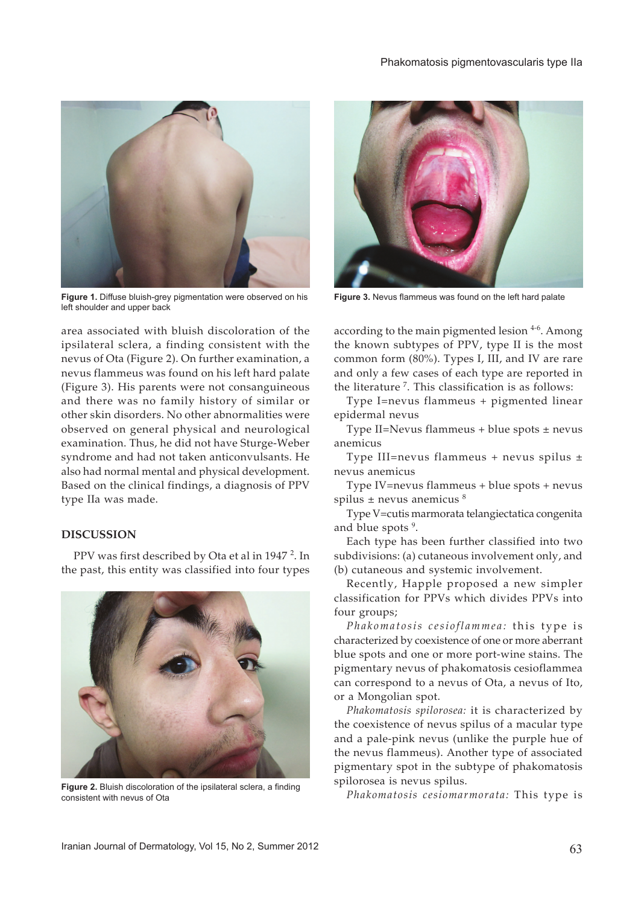

**Figure 1.** Diffuse bluish-grey pigmentation were observed on his left shoulder and upper back

area associated with bluish discoloration of the ipsilateral sclera, a finding consistent with the nevus of Ota (Figure 2). On further examination, a nevus flammeus was found on his left hard palate (Figure 3). His parents were not consanguineous and there was no family history of similar or other skin disorders. No other abnormalities were observed on general physical and neurological examination. Thus, he did not have Sturge-Weber syndrome and had not taken anticonvulsants. He also had normal mental and physical development. Based on the clinical findings, a diagnosis of PPV type IIa was made.

#### **Discussion**

PPV was first described by Ota et al in 1947<sup>2</sup>. In the past, this entity was classified into four types



**Figure 2.** Bluish discoloration of the ipsilateral sclera, a finding consistent with nevus of Ota



**Figure 3.** Nevus flammeus was found on the left hard palate

according to the main pigmented lesion  $4-6$ . Among the known subtypes of PPV, type II is the most common form (80%). Types I, III, and IV are rare and only a few cases of each type are reported in the literature<sup>7</sup>. This classification is as follows:

Type I=nevus flammeus + pigmented linear epidermal nevus

Type II=Nevus flammeus + blue spots ± nevus anemicus

Type III=nevus flammeus + nevus spilus ± nevus anemicus

Type IV=nevus flammeus + blue spots + nevus spilus  $\pm$  nevus anemicus  $\frac{8}{3}$ 

Type V=cutis marmorata telangiectatica congenita and blue spots<sup>9</sup>.

Each type has been further classified into two subdivisions: (a) cutaneous involvement only, and (b) cutaneous and systemic involvement.

Recently, Happle proposed a new simpler classification for PPVs which divides PPVs into four groups;

*Phakomatosis cesioflammea:* this type is characterized by coexistence of one or more aberrant blue spots and one or more port-wine stains. The pigmentary nevus of phakomatosis cesioflammea can correspond to a nevus of Ota, a nevus of Ito, or a Mongolian spot.

*Phakomatosis spilorosea:* it is characterized by the coexistence of nevus spilus of a macular type and a pale-pink nevus (unlike the purple hue of the nevus flammeus). Another type of associated pigmentary spot in the subtype of phakomatosis spilorosea is nevus spilus.

*Phakomatosis cesiomarmorata:* This type is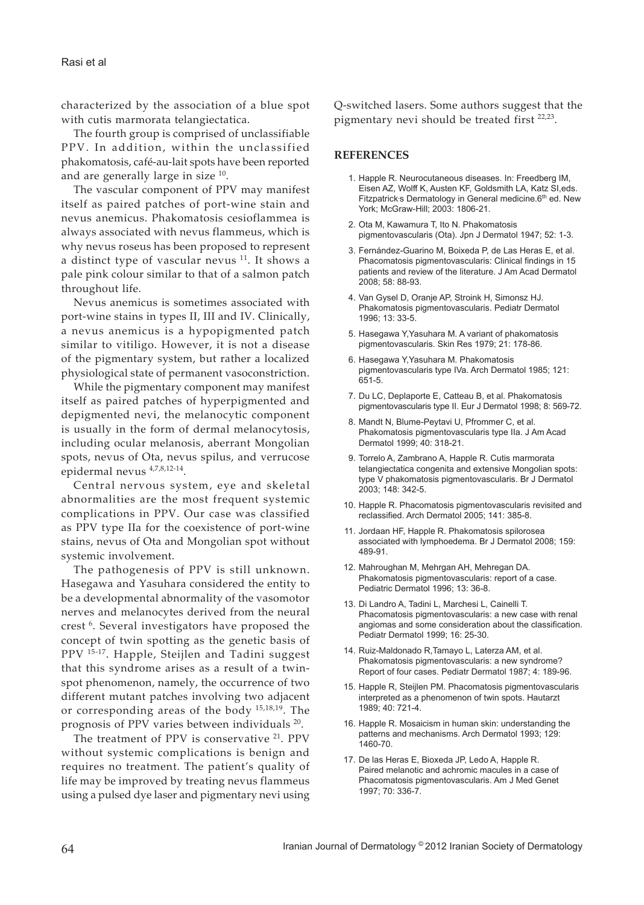characterized by the association of a blue spot with cutis marmorata telangiectatica.

The fourth group is comprised of unclassifiable PPV. In addition, within the unclassified phakomatosis, café-au-lait spots have been reported and are generally large in size 10.

The vascular component of PPV may manifest itself as paired patches of port-wine stain and nevus anemicus. Phakomatosis cesioflammea is always associated with nevus flammeus, which is why nevus roseus has been proposed to represent a distinct type of vascular nevus  $11$ . It shows a pale pink colour similar to that of a salmon patch throughout life.

Nevus anemicus is sometimes associated with port-wine stains in types II, III and IV. Clinically, a nevus anemicus is a hypopigmented patch similar to vitiligo. However, it is not a disease of the pigmentary system, but rather a localized physiological state of permanent vasoconstriction.

While the pigmentary component may manifest itself as paired patches of hyperpigmented and depigmented nevi, the melanocytic component is usually in the form of dermal melanocytosis, including ocular melanosis, aberrant Mongolian spots, nevus of Ota, nevus spilus, and verrucose epidermal nevus 4,7,8,12-14.

Central nervous system, eye and skeletal abnormalities are the most frequent systemic complications in PPV. Our case was classified as PPV type IIa for the coexistence of port-wine stains, nevus of Ota and Mongolian spot without systemic involvement.

The pathogenesis of PPV is still unknown. Hasegawa and Yasuhara considered the entity to be a developmental abnormality of the vasomotor nerves and melanocytes derived from the neural crest<sup>6</sup>. Several investigators have proposed the concept of twin spotting as the genetic basis of PPV 15-17. Happle, Steijlen and Tadini suggest that this syndrome arises as a result of a twinspot phenomenon, namely, the occurrence of two different mutant patches involving two adjacent or corresponding areas of the body 15,18,19. The prognosis of PPV varies between individuals 20.

The treatment of PPV is conservative <sup>21</sup>. PPV without systemic complications is benign and requires no treatment. The patient's quality of life may be improved by treating nevus flammeus using a pulsed dye laser and pigmentary nevi using Q-switched lasers. Some authors suggest that the pigmentary nevi should be treated first <sup>22,23</sup>.

# **References**

- 1. Happle R. Neurocutaneous diseases. In: Freedberg IM, Eisen AZ, Wolff K, Austen KF, Goldsmith LA, Katz SI,eds. Fitzpatrick s Dermatology in General medicine.6<sup>th</sup> ed. New York; McGraw-Hill; 2003: 1806-21.
- 2. Ota M, Kawamura T, Ito N. Phakomatosis pigmentovascularis (Ota). Jpn J Dermatol 1947; 52: 1-3.
- 3. Fernández-Guarino M, Boixeda P, de Las Heras E, et al. Phacomatosis pigmentovascularis: Clinical findings in 15 patients and review of the literature. J Am Acad Dermatol 2008; 58: 88-93.
- 4. Van Gysel D, Oranje AP, Stroink H, Simonsz HJ. Phakomatosis pigmentovascularis. Pediatr Dermatol 1996; 13: 33-5.
- 5. Hasegawa Y,Yasuhara M. A variant of phakomatosis pigmentovascularis. Skin Res 1979; 21: 178-86.
- 6. Hasegawa Y,Yasuhara M. Phakomatosis pigmentovascularis type IVa. Arch Dermatol 1985; 121: 651-5.
- 7. Du LC, Deplaporte E, Catteau B, et al. Phakomatosis pigmentovascularis type II. Eur J Dermatol 1998; 8: 569-72.
- 8. Mandt N, Blume-Peytavi U, Pfrommer C, et al. Phakomatosis pigmentovascularis type IIa. J Am Acad Dermatol 1999; 40: 318-21.
- 9. Torrelo A, Zambrano A, Happle R. Cutis marmorata telangiectatica congenita and extensive Mongolian spots: type V phakomatosis pigmentovascularis. Br J Dermatol 2003; 148: 342-5.
- 10. Happle R. Phacomatosis pigmentovascularis revisited and reclassified. Arch Dermatol 2005; 141: 385-8.
- 11. Jordaan HF, Happle R. Phakomatosis spilorosea associated with lymphoedema. Br J Dermatol 2008; 159: 489-91.
- 12. Mahroughan M, Mehrgan AH, Mehregan DA. Phakomatosis pigmentovascularis: report of a case. Pediatric Dermatol 1996; 13: 36-8.
- 13. Di Landro A, Tadini L, Marchesi L, Cainelli T. Phacomatosis pigmentovascularis: a new case with renal angiomas and some consideration about the classification. Pediatr Dermatol 1999; 16: 25-30.
- 14. Ruiz-Maldonado R,Tamayo L, Laterza AM, et al. Phakomatosis pigmentovascularis: a new syndrome? Report of four cases. Pediatr Dermatol 1987; 4: 189-96.
- 15. Happle R, Steijlen PM. Phacomatosis pigmentovascularis interpreted as a phenomenon of twin spots. Hautarzt 1989; 40: 721-4.
- 16. Happle R. Mosaicism in human skin: understanding the patterns and mechanisms. Arch Dermatol 1993; 129: 1460-70.
- 17. De las Heras E, Bioxeda JP, Ledo A, Happle R. Paired melanotic and achromic macules in a case of Phacomatosis pigmentovascularis. Am J Med Genet 1997; 70: 336-7.